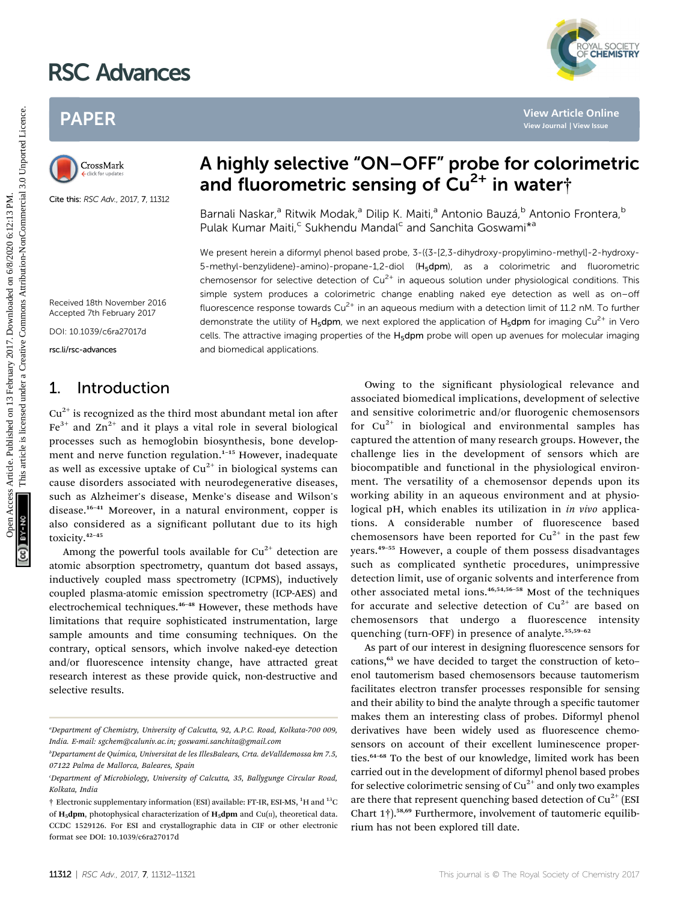# RSC Advances

# PAPER



Cite this: RSC Adv., 2017, 7, 11312

# A highly selective "ON–OFF" probe for colorimetric and fluorometric sensing of  $Cu<sup>2+</sup>$  in water†

Barnali Naskar,<sup>a</sup> Ritwik Modak,<sup>a</sup> Dilip K. Maiti,<sup>a</sup> Antonio Bauzá,<sup>b</sup> Antonio Frontera,<sup>b</sup> Pulak Kumar Maiti,<sup>c</sup> Sukhendu Mandal<sup>c</sup> and Sanchita Goswami<sup>\*a</sup>

We present herein a diformyl phenol based probe, 3-({3-[2,3-dihydroxy-propylimino-methyl]-2-hydroxy-5-methyl-benzylidene}-amino)-propane-1,2-diol (H5dpm), as a colorimetric and fluorometric chemosensor for selective detection of  $Cu<sup>2+</sup>$  in aqueous solution under physiological conditions. This simple system produces a colorimetric change enabling naked eye detection as well as on–off fluorescence response towards  $Cu^{2+}$  in an aqueous medium with a detection limit of 11.2 nM. To further demonstrate the utility of H<sub>5</sub>dpm, we next explored the application of H<sub>5</sub>dpm for imaging Cu<sup>2+</sup> in Vero cells. The attractive imaging properties of the H<sub>5</sub>dpm probe will open up avenues for molecular imaging and biomedical applications. PAPER<br>
Considered as the contract of the contract of the state of the contract of the state of the state of the state of the state of the state of the state of the state of the state of the state of the state of the state

Received 18th November 2016 Accepted 7th February 2017

DOI: 10.1039/c6ra27017d

rsc.li/rsc-advances

## 1. Introduction

 $Cu<sup>2+</sup>$  is recognized as the third most abundant metal ion after  $Fe<sup>3+</sup>$  and  $Zn<sup>2+</sup>$  and it plays a vital role in several biological processes such as hemoglobin biosynthesis, bone development and nerve function regulation.<sup>1-15</sup> However, inadequate as well as excessive uptake of  $Cu^{2+}$  in biological systems can cause disorders associated with neurodegenerative diseases, such as Alzheimer's disease, Menke's disease and Wilson's disease.<sup>16</sup>–<sup>41</sup> Moreover, in a natural environment, copper is also considered as a significant pollutant due to its high toxicity.<sup>42</sup>–<sup>45</sup>

Among the powerful tools available for  $Cu^{2+}$  detection are atomic absorption spectrometry, quantum dot based assays, inductively coupled mass spectrometry (ICPMS), inductively coupled plasma-atomic emission spectrometry (ICP-AES) and electrochemical techniques.<sup>46</sup>–<sup>48</sup> However, these methods have limitations that require sophisticated instrumentation, large sample amounts and time consuming techniques. On the contrary, optical sensors, which involve naked-eye detection and/or fluorescence intensity change, have attracted great research interest as these provide quick, non-destructive and selective results.

Owing to the significant physiological relevance and associated biomedical implications, development of selective and sensitive colorimetric and/or fluorogenic chemosensors for  $Cu^{2+}$  in biological and environmental samples has captured the attention of many research groups. However, the challenge lies in the development of sensors which are biocompatible and functional in the physiological environment. The versatility of a chemosensor depends upon its working ability in an aqueous environment and at physiological pH, which enables its utilization in in vivo applications. A considerable number of fluorescence based chemosensors have been reported for  $Cu^{2+}$  in the past few years.<sup>49</sup>–<sup>55</sup> However, a couple of them possess disadvantages such as complicated synthetic procedures, unimpressive detection limit, use of organic solvents and interference from other associated metal ions.46,54,56–<sup>58</sup> Most of the techniques for accurate and selective detection of  $Cu^{2+}$  are based on chemosensors that undergo a fluorescence intensity quenching (turn-OFF) in presence of analyte.<sup>55,59-62</sup>

YAL SOCIETY<br>**CHEMISTRY** 

As part of our interest in designing fluorescence sensors for cations,<sup>63</sup> we have decided to target the construction of keto– enol tautomerism based chemosensors because tautomerism facilitates electron transfer processes responsible for sensing and their ability to bind the analyte through a specific tautomer makes them an interesting class of probes. Diformyl phenol derivatives have been widely used as fluorescence chemosensors on account of their excellent luminescence properties.<sup>64-68</sup> To the best of our knowledge, limited work has been carried out in the development of diformyl phenol based probes for selective colorimetric sensing of  $Cu^{2+}$  and only two examples are there that represent quenching based detection of  $Cu^{2+}$  (ESI Chart 1†).58,69 Furthermore, involvement of tautomeric equilibrium has not been explored till date.

a Department of Chemistry, University of Calcutta, 92, A.P.C. Road, Kolkata-700 009, India. E-mail: sgchem@caluniv.ac.in; goswami.sanchita@gmail.com

b Departament de Qu´ımica, Universitat de les IllesBalears, Crta. deValldemossa km 7.5, 07122 Palma de Mallorca, Baleares, Spain

c Department of Microbiology, University of Calcutta, 35, Ballygunge Circular Road, Kolkata, India

<sup>†</sup> Electronic supplementary information (ESI) available: FT-IR, ESI-MS, <sup>1</sup>H and <sup>13</sup>C of  $H_5$ dpm, photophysical characterization of  $H_5$ dpm and Cu(II), theoretical data. CCDC 1529126. For ESI and crystallographic data in CIF or other electronic format see DOI: 10.1039/c6ra27017d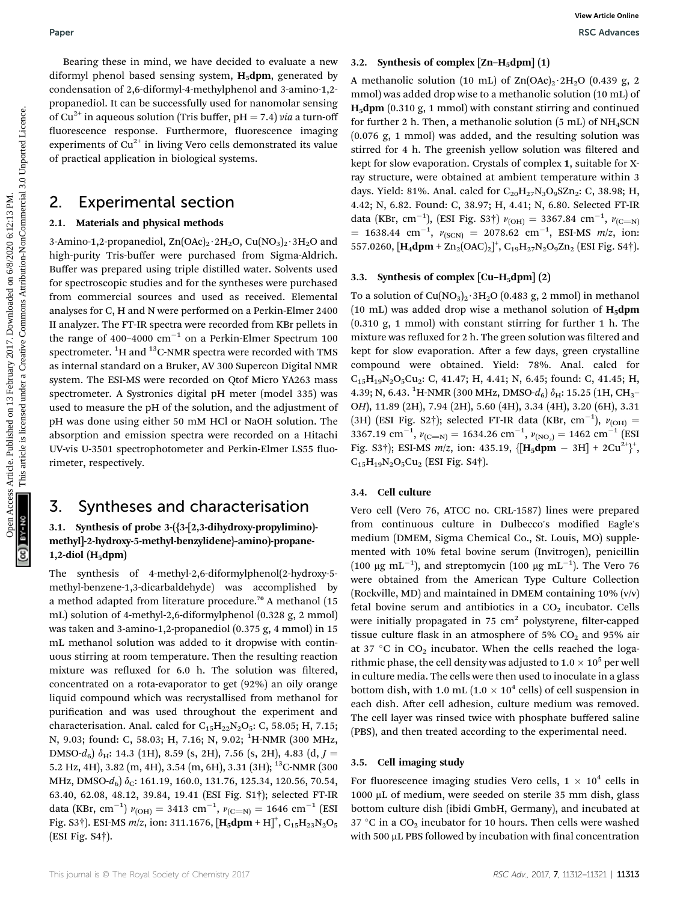## 2. Experimental section

#### 2.1. Materials and physical methods

3-Amino-1,2-propanediol,  $\text{Zn}(\text{OAc})_2 \cdot 2\text{H}_2\text{O}$ ,  $\text{Cu}(\text{NO}_3)_2 \cdot 3\text{H}_2\text{O}$  and high-purity Tris-buffer were purchased from Sigma-Aldrich. Buffer was prepared using triple distilled water. Solvents used for spectroscopic studies and for the syntheses were purchased from commercial sources and used as received. Elemental analyses for C, H and N were performed on a Perkin-Elmer 2400 II analyzer. The FT-IR spectra were recorded from KBr pellets in the range of 400–4000  $\rm cm^{-1}$  on a Perkin-Elmer Spectrum 100 spectrometer.  $^{1} \mathrm{H}$  and  $^{13} \mathrm{C}$ -NMR spectra were recorded with TMS as internal standard on a Bruker, AV 300 Supercon Digital NMR system. The ESI-MS were recorded on Qtof Micro YA263 mass spectrometer. A Systronics digital pH meter (model 335) was used to measure the pH of the solution, and the adjustment of pH was done using either 50 mM HCl or NaOH solution. The absorption and emission spectra were recorded on a Hitachi UV-vis U-3501 spectrophotometer and Perkin-Elmer LS55 fluorimeter, respectively. Paper<br>
Decretion the sixterior between Action Commonlar areas A.2. Synthesis of complete [Zn H-glpm](1)<br>
different based areas ( $\frac{1}{2}$  controlline article is article. The sixterior of  $\frac{1}{2}$  controlline and the sixt

# 3. Syntheses and characterisation

#### 3.1. Synthesis of probe 3-({3-[2,3-dihydroxy-propylimino) methyl]-2-hydroxy-5-methyl-benzylidene}-amino)-propane- $1,2$ -diol (H<sub>5</sub>dpm)

The synthesis of 4-methyl-2,6-diformylphenol(2-hydroxy-5 methyl-benzene-1,3-dicarbaldehyde) was accomplished by a method adapted from literature procedure.<sup>70</sup> A methanol (15 mL) solution of 4-methyl-2,6-diformylphenol (0.328 g, 2 mmol) was taken and 3-amino-1,2-propanediol (0.375 g, 4 mmol) in 15 mL methanol solution was added to it dropwise with continuous stirring at room temperature. Then the resulting reaction mixture was refluxed for 6.0 h. The solution was filtered, concentrated on a rota-evaporator to get (92%) an oily orange liquid compound which was recrystallised from methanol for purification and was used throughout the experiment and characterisation. Anal. calcd for  $C_{15}H_{22}N_2O_5$ : C, 58.05; H, 7.15; N, 9.03; found: C, 58.03; H, 7.16; N, 9.02; <sup>1</sup>H-NMR (300 MHz, DMSO- $d_6$ )  $\delta_H$ : 14.3 (1H), 8.59 (s, 2H), 7.56 (s, 2H), 4.83 (d, J = 5.2 Hz, 4H), 3.82 (m, 4H), 3.54 (m, 6H), 3.31 (3H); <sup>13</sup>C-NMR (300 MHz, DMSO- $d_6$ )  $\delta_C$ : 161.19, 160.0, 131.76, 125.34, 120.56, 70.54, 63.40, 62.08, 48.12, 39.84, 19.41 (ESI Fig. S1†); selected FT-IR data (KBr, cm<sup>-1</sup>)  $v_{\text{(OH)}} = 3413 \text{ cm}^{-1}$ ,  $v_{\text{(C=N)}} = 1646 \text{ cm}^{-1}$  (ESI Fig. S3†). ESI-MS  $m/z$ , ion: 311.1676,  $[\textbf{H}_5\textbf{dpm} + \textbf{H}]^+$ ,  $\text{C}_{15}\text{H}_{23}\text{N}_2\text{O}_5$ (ESI Fig. S4†).

#### 3.2. Synthesis of complex  $[Zn-H_5dpm](1)$

A methanolic solution (10 mL) of  $\text{Zn}(\text{OAc})_2 \cdot 2\text{H}_2\text{O}$  (0.439 g, 2 mmol) was added drop wise to a methanolic solution (10 mL) of  $H_5$ dpm (0.310 g, 1 mmol) with constant stirring and continued for further 2 h. Then, a methanolic solution  $(5 \text{ mL})$  of NH<sub>4</sub>SCN (0.076 g, 1 mmol) was added, and the resulting solution was stirred for 4 h. The greenish yellow solution was filtered and kept for slow evaporation. Crystals of complex 1, suitable for Xray structure, were obtained at ambient temperature within 3 days. Yield: 81%. Anal. calcd for  $C_{20}H_{27}N_3O_9SZn_2$ : C, 38.98; H, 4.42; N, 6.82. Found: C, 38.97; H, 4.41; N, 6.80. Selected FT-IR data (KBr, cm<sup>-1</sup>), (ESI Fig. S3†)  $v_{\text{(OH)}} = 3367.84 \text{ cm}^{-1}$ ,  $v_{\text{(C=N)}}$  $= 1638.44$  cm<sup>-1</sup>,  $v_{\text{(SCN)}} = 2078.62$  cm<sup>-1</sup>, ESI-MS m/z, ion: 557.0260,  $[\text{H}_4\text{dpm} + \text{Zn}_2(\text{OAC})_2]^+$ ,  $\text{C}_{19}\text{H}_{27}\text{N}_2\text{O}_9\text{Zn}_2$  (ESI Fig. S4†).

#### 3.3. Synthesis of complex  $\left[$ Cu–H<sub>5</sub>dpm $\right]$  $(2)$

To a solution of  $Cu(NO<sub>3</sub>)<sub>2</sub>·3H<sub>2</sub>O (0.483 g, 2 mmol)$  in methanol (10 mL) was added drop wise a methanol solution of  $H_5dpm$ (0.310 g, 1 mmol) with constant stirring for further 1 h. The mixture was refluxed for 2 h. The green solution was filtered and kept for slow evaporation. After a few days, green crystalline compound were obtained. Yield: 78%. Anal. calcd for  $C_{15}H_{19}N_2O_5Cu_2$ : C, 41.47; H, 4.41; N, 6.45; found: C, 41.45; H, 4.39; N, 6.43.  $^{1}$ H-NMR (300 MHz, DMSO- $d_{6}$ )  $\delta_{\rm H}$ : 15.25 (1H, CH<sub>3</sub>-OH), 11.89 (2H), 7.94 (2H), 5.60 (4H), 3.34 (4H), 3.20 (6H), 3.31 (3H) (ESI Fig. S2†); selected FT-IR data (KBr, cm<sup>-1</sup>),  $v_{\text{(OH)}} =$ 3367.19 cm<sup>-1</sup>,  $v_{\text{(C=N)}} = 1634.26 \text{ cm}^{-1}$ ,  $v_{\text{(NO_3)}} = 1462 \text{ cm}^{-1}$  (ESI Fig. S3†); ESI-MS  $m/z$ , ion: 435.19,  $\{[H_5dpm - 3H] + 2Cu^{2+}\}^+$ ,  $C_{15}H_{19}N_2O_5Cu_2$  (ESI Fig. S4†).

#### 3.4. Cell culture

Vero cell (Vero 76, ATCC no. CRL-1587) lines were prepared from continuous culture in Dulbecco's modified Eagle's medium (DMEM, Sigma Chemical Co., St. Louis, MO) supplemented with 10% fetal bovine serum (Invitrogen), penicillin (100  $\mu$ g mL<sup>-1</sup>), and streptomycin (100  $\mu$ g mL<sup>-1</sup>). The Vero 76 were obtained from the American Type Culture Collection (Rockville, MD) and maintained in DMEM containing 10% (v/v) fetal bovine serum and antibiotics in a  $CO<sub>2</sub>$  incubator. Cells were initially propagated in 75  $cm<sup>2</sup>$  polystyrene, filter-capped tissue culture flask in an atmosphere of 5%  $CO<sub>2</sub>$  and 95% air at 37 °C in  $CO<sub>2</sub>$  incubator. When the cells reached the logarithmic phase, the cell density was adjusted to  $1.0 \times 10^5$  per well in culture media. The cells were then used to inoculate in a glass bottom dish, with 1.0 mL ( $1.0 \times 10^4$  cells) of cell suspension in each dish. After cell adhesion, culture medium was removed. The cell layer was rinsed twice with phosphate buffered saline (PBS), and then treated according to the experimental need.

#### 3.5. Cell imaging study

For fluorescence imaging studies Vero cells,  $1 \times 10^4$  cells in 1000 µL of medium, were seeded on sterile 35 mm dish, glass bottom culture dish (ibidi GmbH, Germany), and incubated at 37 °C in a  $CO<sub>2</sub>$  incubator for 10 hours. Then cells were washed with 500  $\upmu$ L PBS followed by incubation with final concentration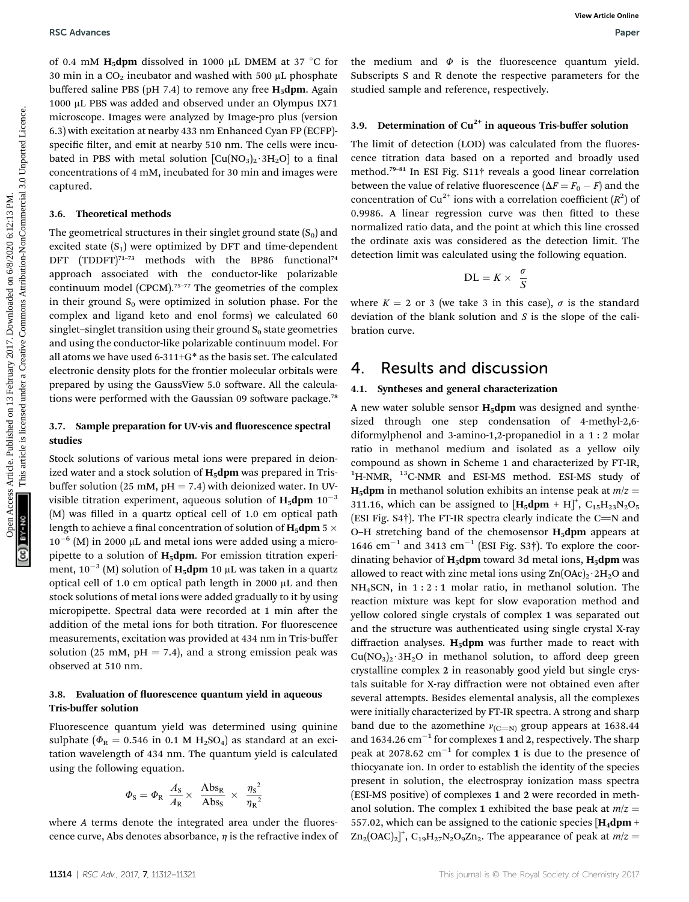of 0.4 mM H<sub>5</sub>dpm dissolved in 1000  $\mu$ L DMEM at 37 °C for 30 min in a  $CO<sub>2</sub>$  incubator and washed with 500  $\mu$ L phosphate buffered saline PBS (pH 7.4) to remove any free  $H_5$ dpm. Again 1000 µL PBS was added and observed under an Olympus IX71 microscope. Images were analyzed by Image-pro plus (version 6.3) with excitation at nearby 433 nm Enhanced Cyan FP (ECFP) specific filter, and emit at nearby 510 nm. The cells were incubated in PBS with metal solution  $\left[\text{Cu}(\text{NO}_3)_2 \cdot 3\text{H}_2\text{O}\right]$  to a final concentrations of 4 mM, incubated for 30 min and images were captured.

#### 3.6. Theoretical methods

The geometrical structures in their singlet ground state  $(S_0)$  and excited state  $(S_1)$  were optimized by DFT and time-dependent DFT (TDDFT)<sup>71-73</sup> methods with the BP86 functional<sup>74</sup> approach associated with the conductor-like polarizable continuum model (CPCM).<sup>75</sup>–<sup>77</sup> The geometries of the complex in their ground  $S_0$  were optimized in solution phase. For the complex and ligand keto and enol forms) we calculated 60 singlet–singlet transition using their ground  $S_0$  state geometries and using the conductor-like polarizable continuum model. For all atoms we have used 6-311+G\* as the basis set. The calculated electronic density plots for the frontier molecular orbitals were prepared by using the GaussView 5.0 software. All the calculations were performed with the Gaussian 09 software package.<sup>78</sup> **BSC Arbaness**<br>
of 6.4 mM Higher has been access the model of 13 February 2017.<br>
Suppose the model of the model of the model of the model of the model of the model of the model of the model of the model of the model of th

#### 3.7. Sample preparation for UV-vis and fluorescence spectral studies

Stock solutions of various metal ions were prepared in deionized water and a stock solution of  $H_5$ dpm was prepared in Trisbuffer solution (25 mM,  $pH = 7.4$ ) with deionized water. In UVvisible titration experiment, aqueous solution of  $\mathbf{H}_5$ dpm  $10^{-3}$  $(M)$  was filled in a quartz optical cell of 1.0 cm optical path length to achieve a final concentration of solution of  $H_5dpm$  5  $\times$  $10^{-6}$  (M) in 2000 µL and metal ions were added using a micropipette to a solution of  $H_5$ dpm. For emission titration experiment, 10 $^{-3}$  (M) solution of  $\rm{H}_{5}$ dpm 10  $\rm{\upmu L}$  was taken in a quartz optical cell of 1.0 cm optical path length in 2000  $\mu$ L and then stock solutions of metal ions were added gradually to it by using micropipette. Spectral data were recorded at 1 min after the addition of the metal ions for both titration. For fluorescence measurements, excitation was provided at 434 nm in Tris-buffer solution (25 mM,  $pH = 7.4$ ), and a strong emission peak was observed at 510 nm.

#### 3.8. Evaluation of fluorescence quantum yield in aqueous Tris-buffer solution

Fluorescence quantum yield was determined using quinine sulphate ( $\Phi_R = 0.546$  in 0.1 M H<sub>2</sub>SO<sub>4</sub>) as standard at an excitation wavelength of 434 nm. The quantum yield is calculated using the following equation.

$$
\varPhi_{\rm S} = \varPhi_{\rm R} \frac{A_{\rm S}}{A_{\rm R}} \times \frac{ {\rm Abs}_{\rm R}}{ {\rm Abs}_{\rm S}} \times \frac{{\eta_{\rm S}}^2}{\eta_{\rm R}^2}
$$

where  $A$  terms denote the integrated area under the fluorescence curve, Abs denotes absorbance,  $\eta$  is the refractive index of

### 3.9. Determination of  $Cu^{2+}$  in aqueous Tris-buffer solution

The limit of detection (LOD) was calculated from the fluorescence titration data based on a reported and broadly used method.<sup>79</sup>–<sup>81</sup> In ESI Fig. S11† reveals a good linear correlation between the value of relative fluorescence ( $\Delta F = F_0 - F$ ) and the concentration of Cu<sup>2+</sup> ions with a correlation coefficient  $(R^2)$  of 0.9986. A linear regression curve was then fitted to these normalized ratio data, and the point at which this line crossed the ordinate axis was considered as the detection limit. The detection limit was calculated using the following equation.

$$
DL = K \times \frac{\sigma}{S}
$$

where  $K = 2$  or 3 (we take 3 in this case),  $\sigma$  is the standard deviation of the blank solution and S is the slope of the calibration curve.

## 4. Results and discussion

#### 4.1. Syntheses and general characterization

A new water soluble sensor  $H_5dpm$  was designed and synthesized through one step condensation of 4-methyl-2,6 diformylphenol and 3-amino-1,2-propanediol in a 1 : 2 molar ratio in methanol medium and isolated as a yellow oily compound as shown in Scheme 1 and characterized by FT-IR, <sup>1</sup>H-NMR, <sup>13</sup>C-NMR and ESI-MS method. ESI-MS study of **H<sub>5</sub>dpm** in methanol solution exhibits an intense peak at  $m/z =$ 311.16, which can be assigned to  $[H_5dpm + H]^+$ ,  $C_{15}H_{23}N_2O_5$ (ESI Fig.  $S4\dagger$ ). The FT-IR spectra clearly indicate the C=N and O–H stretching band of the chemosensor  $H_5$ dpm appears at 1646  $\text{cm}^{-1}$  and 3413  $\text{cm}^{-1}$  (ESI Fig. S3†). To explore the coordinating behavior of  $H_5$ dpm toward 3d metal ions,  $H_5$ dpm was allowed to react with zinc metal ions using  $\text{Zn}(\text{OAc})_2 \cdot 2\text{H}_2\text{O}$  and NH4SCN, in 1 : 2 : 1 molar ratio, in methanol solution. The reaction mixture was kept for slow evaporation method and yellow colored single crystals of complex 1 was separated out and the structure was authenticated using single crystal X-ray diffraction analyses.  $H_5dpm$  was further made to react with  $Cu(NO<sub>3</sub>)<sub>2</sub>·3H<sub>2</sub>O$  in methanol solution, to afford deep green crystalline complex 2 in reasonably good yield but single crystals suitable for X-ray diffraction were not obtained even after several attempts. Besides elemental analysis, all the complexes were initially characterized by FT-IR spectra. A strong and sharp band due to the azomethine  $v_{\text{(C=N)}}$  group appears at 1638.44 and 1634.26  $\text{cm}^{-1}$  for complexes 1 and 2, respectively. The sharp peak at 2078.62  $cm^{-1}$  for complex 1 is due to the presence of thiocyanate ion. In order to establish the identity of the species present in solution, the electrospray ionization mass spectra (ESI-MS positive) of complexes 1 and 2 were recorded in methanol solution. The complex 1 exhibited the base peak at  $m/z =$ 557.02, which can be assigned to the cationic species  $[H_4dpm +$  $\text{Zn}_2(\text{OAC})_2]^+$ ,  $\text{C}_{19}\text{H}_{27}\text{N}_2\text{O}_9\text{Zn}_2$ . The appearance of peak at  $m/z =$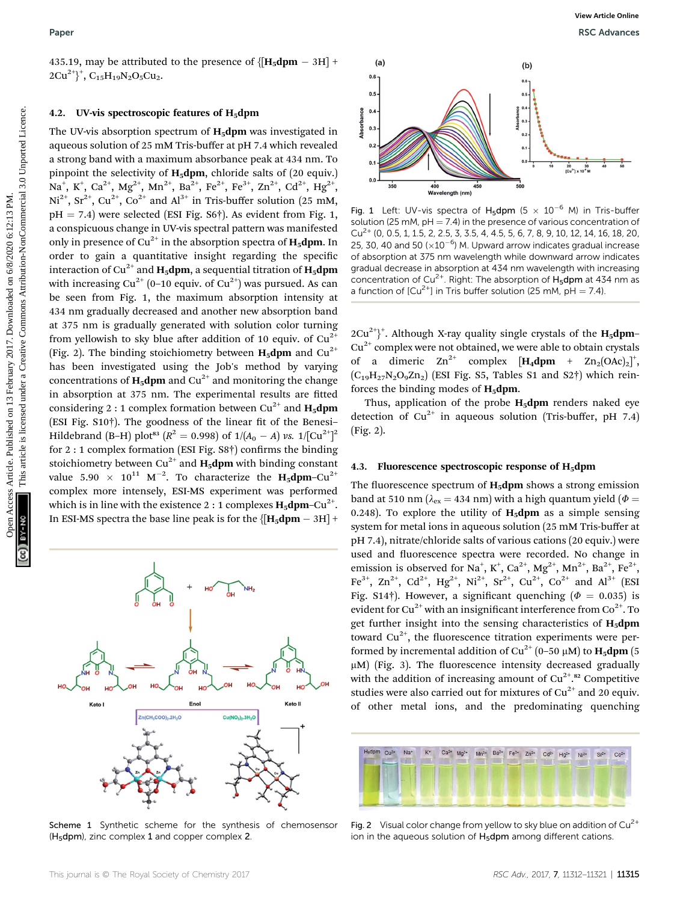435.19, may be attributed to the presence of  $\{[H_5dpm - 3H] +$  $2Cu^{2+}\}^+$ ,  $C_{15}H_{19}N_2O_5Cu_2$ .

#### 4.2. UV-vis spectroscopic features of  $H_5$ dpm

The UV-vis absorption spectrum of  $H_5$ dpm was investigated in aqueous solution of 25 mM Tris-buffer at pH 7.4 which revealed a strong band with a maximum absorbance peak at 434 nm. To pinpoint the selectivity of  $H_5dpm$ , chloride salts of (20 equiv.) Na<sup>+</sup>, K<sup>+</sup>, Ca<sup>2+</sup>, Mg<sup>2+</sup>, Mn<sup>2+</sup>, Ba<sup>2+</sup>, Fe<sup>2+</sup>, Fe<sup>3+</sup>, Zn<sup>2+</sup>, Cd<sup>2+</sup>, Hg<sup>2+</sup>,  $Ni^{2+}$ ,  $Sr^{2+}$ ,  $Cu^{2+}$ ,  $Co^{2+}$  and  $Al^{3+}$  in Tris-buffer solution (25 mM,  $pH = 7.4$ ) were selected (ESI Fig. S6†). As evident from Fig. 1, a conspicuous change in UV-vis spectral pattern was manifested only in presence of  $Cu^{2+}$  in the absorption spectra of  $H_5d$ pm. In order to gain a quantitative insight regarding the specific interaction of Cu<sup>2+</sup> and **H<sub>5</sub>dpm**, a sequential titration of **H<sub>5</sub>dpm** with increasing  $Cu^{2+}$  (0–10 equiv. of  $Cu^{2+}$ ) was pursued. As can be seen from Fig. 1, the maximum absorption intensity at 434 nm gradually decreased and another new absorption band at 375 nm is gradually generated with solution color turning from yellowish to sky blue after addition of 10 equiv. of  $Cu^{2+}$ (Fig. 2). The binding stoichiometry between  $H_5$ dpm and Cu<sup>2+</sup> has been investigated using the Job's method by varying concentrations of  $H_5$ dpm and Cu<sup>2+</sup> and monitoring the change in absorption at 375 nm. The experimental results are fitted considering 2 : 1 complex formation between  $Cu^{2+}$  and  $H_5dpm$ (ESI Fig.  $S10<sup>†</sup>$ ). The goodness of the linear fit of the Benesi-Hildebrand (B–H) plot<sup>83</sup> ( $R^2 = 0.998$ ) of 1/(A<sub>0</sub> – A) vs. 1/[Cu<sup>2+</sup>]<sup>2</sup> for  $2:1$  complex formation (ESI Fig.  $S8\dagger$ ) confirms the binding stoichiometry between Cu<sup>2+</sup> and  $H_5dpm$  with binding constant value 5.90  $\times$  10<sup>11</sup> M<sup>-2</sup>. To characterize the  $\text{H}_5\text{dpm-Cu}^{2+}$ complex more intensely, ESI-MS experiment was performed which is in line with the existence 2 : 1 complexes  $H_5$ dpm–Cu<sup>2+</sup>. In ESI-MS spectra the base line peak is for the  $\left\{\mathbf{[H_5dpm - 3H]}+\right\}$ Paper<br>  $\frac{13.19}{26.17}$  February 2017. Downloaded on the presence of  $\{H_n\}$  February 2017. Downloaded on 12 February 2017. Downloaded under a creative commons are computed under a common specific in the substitution of



Scheme 1 Synthetic scheme for the synthesis of chemosensor  $(H<sub>5</sub>dpm)$ , zinc complex 1 and copper complex 2.



Fig. 1 Left: UV-vis spectra of H<sub>5</sub>dpm  $(5 \times 10^{-6}$  M) in Tris-buffer solution (25 mM,  $pH = 7.4$ ) in the presence of various concentration of  $Cu<sup>2+</sup>$  (0, 0.5, 1, 1.5, 2, 2.5, 3, 3.5, 4, 4.5, 5, 6, 7, 8, 9, 10, 12, 14, 16, 18, 20, 25, 30, 40 and 50 ( $\times 10^{-6}$ ) M. Upward arrow indicates gradual increase of absorption at 375 nm wavelength while downward arrow indicates gradual decrease in absorption at 434 nm wavelength with increasing concentration of Cu<sup>2+</sup>. Right: The absorption of  $H_5$ dpm at 434 nm as a function of  $[Cu^{2+}]$  in Tris buffer solution (25 mM, pH = 7.4).

 $2Cu^{2+}$ <sup>+</sup>. Although X-ray quality single crystals of the  $H_5dpm$ - $Cu<sup>2+</sup>$  complex were not obtained, we were able to obtain crystals of a dimeric  $Zn^{2+}$  complex  $[H_4dpm + Zn_2(OAc)_2]^+,$  $(C_{19}H_{27}N_2O_9Zn_2)$  (ESI Fig. S5, Tables S1 and S2†) which reinforces the binding modes of  $H_5dpm$ .

Thus, application of the probe  $H_5$ dpm renders naked eye detection of  $Cu^{2+}$  in aqueous solution (Tris-buffer, pH 7.4) (Fig. 2).

#### 4.3. Fluorescence spectroscopic response of  $H_5$ dpm

The fluorescence spectrum of  $H_5$ dpm shows a strong emission band at 510 nm ( $\lambda_{ex}$  = 434 nm) with a high quantum yield ( $\Phi$  = 0.248). To explore the utility of  $H_5dpm$  as a simple sensing system for metal ions in aqueous solution (25 mM Tris-buffer at pH 7.4), nitrate/chloride salts of various cations (20 equiv.) were used and fluorescence spectra were recorded. No change in emission is observed for Na<sup>+</sup>, K<sup>+</sup>, Ca<sup>2+</sup>, Mg<sup>2+</sup>, Mn<sup>2+</sup>, Ba<sup>2+</sup>, Fe<sup>2+</sup>, Fe<sup>3+</sup>, Zn<sup>2+</sup>, Cd<sup>2+</sup>, Hg<sup>2+</sup>, Ni<sup>2+</sup>, Sr<sup>2+</sup>, Cu<sup>2+</sup>, Co<sup>2+</sup> and Al<sup>3+</sup> (ESI Fig. S14†). However, a significant quenching ( $\Phi = 0.035$ ) is evident for Cu<sup>2+</sup> with an insignificant interference from  $Co^{2+}$ . To get further insight into the sensing characteristics of H<sub>5</sub>dpm toward  $Cu^{2+}$ , the fluorescence titration experiments were performed by incremental addition of Cu<sup>2+</sup> (0–50  $\mu$ M) to **H<sub>5</sub>dpm** (5  $\mu$ M) (Fig. 3). The fluorescence intensity decreased gradually with the addition of increasing amount of  $Cu^{2^{+}}$ .<sup>82</sup> Competitive studies were also carried out for mixtures of  $Cu^{2+}$  and 20 equiv. of other metal ions, and the predominating quenching



Fig. 2 Visual color change from yellow to sky blue on addition of  $Cu^{2+}$ ion in the aqueous solution of  $H_5dpm$  among different cations.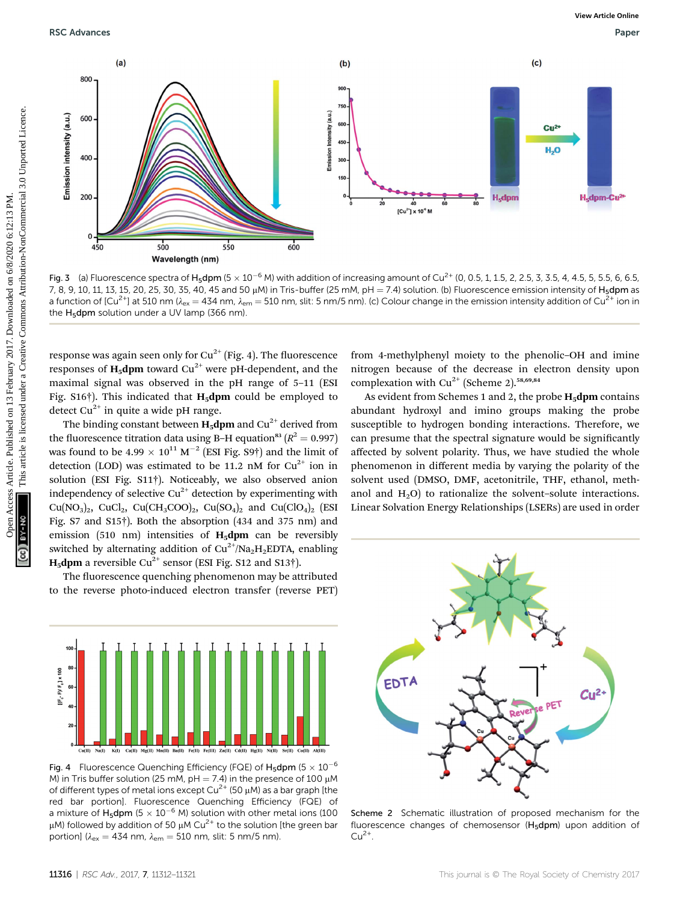

Fig. 3 (a) Fluorescence spectra of H<sub>5</sub>dpm (5  $\times$  10<sup>-6</sup> M) with addition of increasing amount of Cu<sup>2+</sup> (0, 0.5, 1, 1.5, 2, 2.5, 3, 3.5, 4, 4.5, 5, 5.5, 6, 6.5, 6, 6.5, 7, 8, 9, 10, 11, 13, 15, 20, 25, 30, 35, 40, 45 and 50  $\mu$ M) in Tris-buffer (25 mM, pH = 7.4) solution. (b) Fluorescence emission intensity of H<sub>5</sub>dpm as a function of  $[Cu^{2+}]$  at 510 nm ( $\lambda_{ex} = 434$  nm,  $\lambda_{em} = 510$  nm, slit: 5 nm/5 nm). (c) Colour change in the emission intensity addition of Cu<sup>2+</sup> ion in the H<sub>5</sub>dpm solution under a UV lamp (366 nm).

response was again seen only for  $Cu^{2+}$  (Fig. 4). The fluorescence responses of  $H_5$ dpm toward Cu<sup>2+</sup> were pH-dependent, and the maximal signal was observed in the pH range of 5–11 (ESI Fig.  $S16\dagger$ ). This indicated that **H<sub>5</sub>dpm** could be employed to detect  $Cu^{2+}$  in quite a wide pH range.

The binding constant between  $H_5$ dpm and Cu<sup>2+</sup> derived from the fluorescence titration data using B–H equation<sup>83</sup> ( $R^2 = 0.997$ ) was found to be 4.99  $\times$  10<sup>11</sup> M<sup>-2</sup> (ESI Fig. S9†) and the limit of detection (LOD) was estimated to be 11.2 nM for  $Cu^{2+}$  ion in solution (ESI Fig. S11†). Noticeably, we also observed anion independency of selective  $Cu^{2+}$  detection by experimenting with  $Cu(NO<sub>3</sub>)<sub>2</sub>$ ,  $CuCl<sub>2</sub>$ ,  $Cu(CH<sub>3</sub>COO)<sub>2</sub>$ ,  $Cu(SO<sub>4</sub>)<sub>2</sub>$  and  $Cu(ClO<sub>4</sub>)<sub>2</sub>$  (ESI Fig. S7 and S15†). Both the absorption (434 and 375 nm) and emission (510 nm) intensities of  $H_5$ dpm can be reversibly switched by alternating addition of  $Cu^{2+}/Na<sub>2</sub>H<sub>2</sub>EDTA$ , enabling **H<sub>5</sub>dpm** a reversible Cu<sup>2+</sup> sensor (ESI Fig. S12 and S13†).

The fluorescence quenching phenomenon may be attributed to the reverse photo-induced electron transfer (reverse PET)



Fig. 4 Fluorescence Quenching Efficiency (FQE) of  $H_5$ dpm (5  $\times$  10 $^{-6}$ M) in Tris buffer solution (25 mM, pH = 7.4) in the presence of 100  $\mu$ M of different types of metal ions except  $Cu^{2+}$  (50  $\mu$ M) as a bar graph [the red bar portion]. Fluorescence Quenching Efficiency (FQE) of a mixture of H<sub>5</sub>dpm (5  $\times$  10<sup>-6</sup> M) solution with other metal ions (100  $\mu$ M) followed by addition of 50  $\mu$ M Cu<sup>2+</sup> to the solution [the green bar portion] ( $\lambda_{ex} = 434$  nm,  $\lambda_{em} = 510$  nm, slit: 5 nm/5 nm).

from 4-methylphenyl moiety to the phenolic–OH and imine nitrogen because of the decrease in electron density upon complexation with  $Cu^{2+}$  (Scheme 2).<sup>58,69,84</sup>

As evident from Schemes 1 and 2, the probe  $H_5$ dpm contains abundant hydroxyl and imino groups making the probe susceptible to hydrogen bonding interactions. Therefore, we can presume that the spectral signature would be signicantly affected by solvent polarity. Thus, we have studied the whole phenomenon in different media by varying the polarity of the solvent used (DMSO, DMF, acetonitrile, THF, ethanol, methanol and  $H_2O$ ) to rationalize the solvent–solute interactions. Linear Solvation Energy Relationships (LSERs) are used in order



Scheme 2 Schematic illustration of proposed mechanism for the fluorescence changes of chemosensor ( $H_5dpm$ ) upon addition of  $Cu<sup>2+</sup>$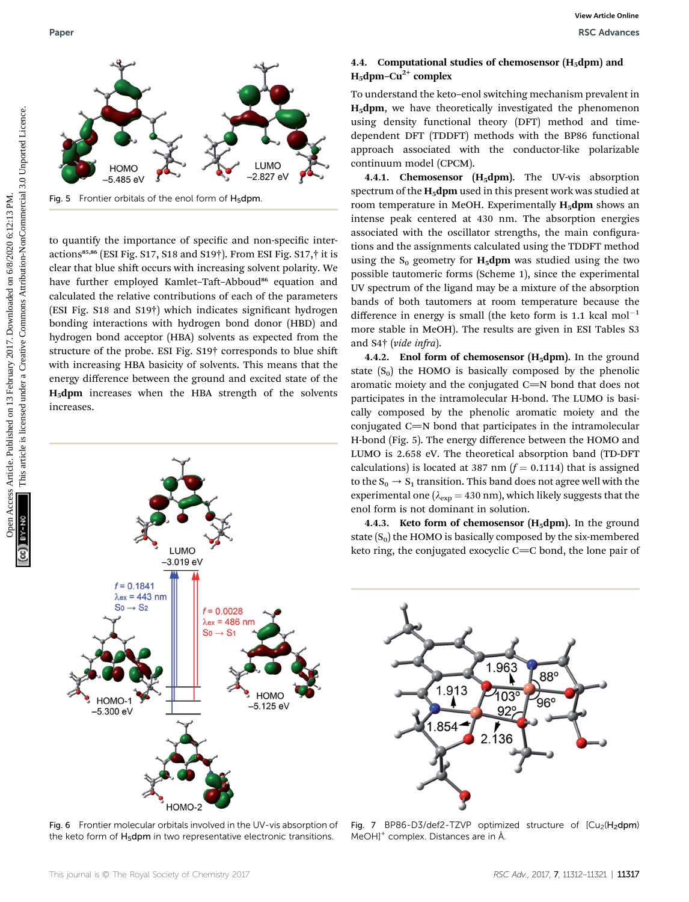

Fig. 5 Frontier orbitals of the enol form of  $H_5$ dpm.

to quantify the importance of specific and non-specific interactions<sup>85,86</sup> (ESI Fig. S17, S18 and S19<sup>†</sup>). From ESI Fig. S17,<sup>†</sup> it is clear that blue shift occurs with increasing solvent polarity. We have further employed Kamlet-Taft-Abboud<sup>86</sup> equation and calculated the relative contributions of each of the parameters (ESI Fig. S18 and S19†) which indicates signicant hydrogen bonding interactions with hydrogen bond donor (HBD) and hydrogen bond acceptor (HBA) solvents as expected from the structure of the probe. ESI Fig. S19† corresponds to blue shi with increasing HBA basicity of solvents. This means that the energy difference between the ground and excited state of the H5dpm increases when the HBA strength of the solvents increases.



Fig. 6 Frontier molecular orbitals involved in the UV-vis absorption of the keto form of H<sub>5</sub>dpm in two representative electronic transitions.

#### 4.4. Computational studies of chemosensor  $(H_5dpm)$  and  $H_5$ dpm–Cu<sup>2+</sup> complex

To understand the keto–enol switching mechanism prevalent in H5dpm, we have theoretically investigated the phenomenon using density functional theory (DFT) method and timedependent DFT (TDDFT) methods with the BP86 functional approach associated with the conductor-like polarizable continuum model (CPCM).

4.4.1. Chemosensor  $(H_5dpm)$ . The UV-vis absorption spectrum of the  $H_5$ dpm used in this present work was studied at room temperature in MeOH. Experimentally  $H_5$ dpm shows an intense peak centered at 430 nm. The absorption energies associated with the oscillator strengths, the main configurations and the assignments calculated using the TDDFT method using the  $S_0$  geometry for  $H_5$ dpm was studied using the two possible tautomeric forms (Scheme 1), since the experimental UV spectrum of the ligand may be a mixture of the absorption bands of both tautomers at room temperature because the difference in energy is small (the keto form is 1.1 kcal  $mol^{-1}$ more stable in MeOH). The results are given in ESI Tables S3 and S4† (vide infra). Next Computational studies of chemoester Article. Published on 13 February 2017. Downloaded the properties are the properties are the continent of the common and the common and the common and the common and the common and

4.4.2. Enol form of chemosensor  $(H_5dpm)$ . In the ground state  $(S_0)$  the HOMO is basically composed by the phenolic aromatic moiety and the conjugated  $C=N$  bond that does not participates in the intramolecular H-bond. The LUMO is basically composed by the phenolic aromatic moiety and the conjugated  $C=N$  bond that participates in the intramolecular H-bond (Fig. 5). The energy difference between the HOMO and LUMO is 2.658 eV. The theoretical absorption band (TD-DFT calculations) is located at 387 nm  $(f = 0.1114)$  that is assigned to the  $S_0 \rightarrow S_1$  transition. This band does not agree well with the experimental one ( $\lambda_{exp}$  = 430 nm), which likely suggests that the enol form is not dominant in solution.

4.4.3. Keto form of chemosensor  $(H_5dpm)$ . In the ground state  $(S_0)$  the HOMO is basically composed by the six-membered keto ring, the conjugated exocyclic  $C=C$  bond, the lone pair of



Fig. 7 BP86-D3/def2-TZVP optimized structure of  $[Cu<sub>2</sub>(H<sub>2</sub>dpm)$ MeOH]<sup>+</sup> complex. Distances are in Å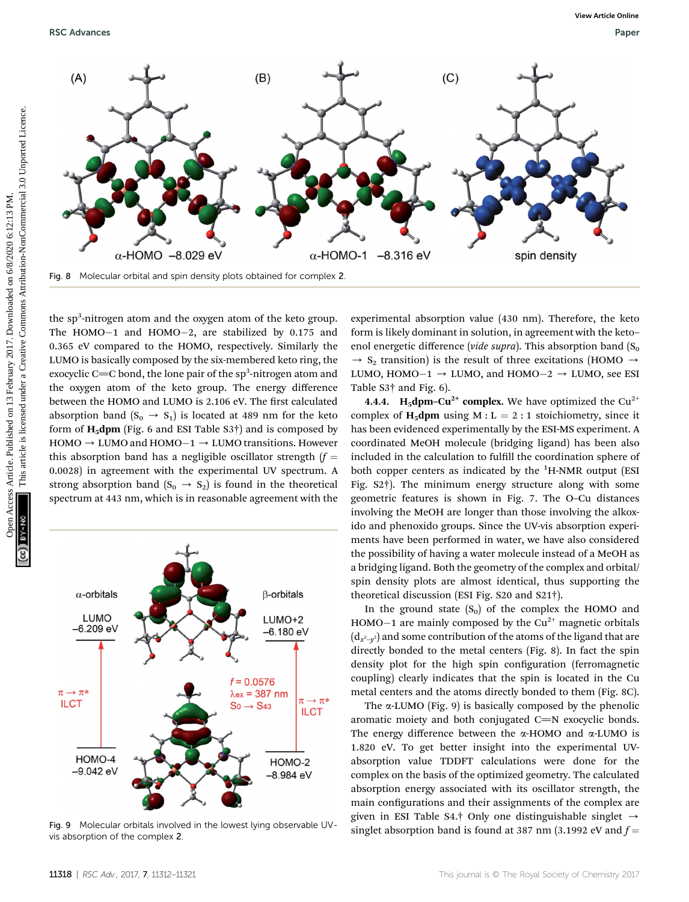RSC Advances **RSC Advances** Paper **RSC Advances** Paper **Paper Paper Paper Paper** Paper Paper Paper Paper Paper Paper Paper Paper Paper Paper Paper Paper Paper Paper Paper Paper Paper Paper Paper Paper Paper Paper Paper Pap



the sp<sup>3</sup>-nitrogen atom and the oxygen atom of the keto group. The HOMO-1 and HOMO-2, are stabilized by 0.175 and 0.365 eV compared to the HOMO, respectively. Similarly the LUMO is basically composed by the six-membered keto ring, the exocyclic C $=$ C bond, the lone pair of the sp $^3$ -nitrogen atom and the oxygen atom of the keto group. The energy difference between the HOMO and LUMO is 2.106 eV. The first calculated absorption band  $(S_0 \rightarrow S_1)$  is located at 489 nm for the keto form of  $H_5$ dpm (Fig. 6 and ESI Table S3<sup>†</sup>) and is composed by  $HOMO \rightarrow LUMO$  and  $HOMO-1 \rightarrow LUMO$  transitions. However this absorption band has a negligible oscillator strength  $(f =$ 0.0028) in agreement with the experimental UV spectrum. A strong absorption band  $(S_0 \rightarrow S_2)$  is found in the theoretical spectrum at 443 nm, which is in reasonable agreement with the



Fig. 9 Molecular orbitals involved in the lowest lying observable UVvis absorption of the complex 2.

experimental absorption value (430 nm). Therefore, the keto form is likely dominant in solution, in agreement with the keto– enol energetic difference (vide supra). This absorption band  $(S_0)$  $\rightarrow$  S<sub>2</sub> transition) is the result of three excitations (HOMO  $\rightarrow$ LUMO, HOMO $-1 \rightarrow$  LUMO, and HOMO $-2 \rightarrow$  LUMO, see ESI Table S3† and Fig. 6).

**4.4.4.** H<sub>5</sub>dpm–Cu<sup>2+</sup> complex. We have optimized the Cu<sup>2+</sup> complex of H<sub>5</sub>dpm using M :  $L = 2 : 1$  stoichiometry, since it has been evidenced experimentally by the ESI-MS experiment. A coordinated MeOH molecule (bridging ligand) has been also included in the calculation to fulll the coordination sphere of both copper centers as indicated by the <sup>1</sup>H-NMR output (ESI Fig. S2†). The minimum energy structure along with some geometric features is shown in Fig. 7. The O–Cu distances involving the MeOH are longer than those involving the alkoxido and phenoxido groups. Since the UV-vis absorption experiments have been performed in water, we have also considered the possibility of having a water molecule instead of a MeOH as a bridging ligand. Both the geometry of the complex and orbital/ spin density plots are almost identical, thus supporting the theoretical discussion (ESI Fig. S20 and S21†).

In the ground state  $(S_0)$  of the complex the HOMO and HOMO $-1$  are mainly composed by the Cu<sup>2+</sup> magnetic orbitals  $({\rm d}_{x^2-y^2})$  and some contribution of the atoms of the ligand that are directly bonded to the metal centers (Fig. 8). In fact the spin density plot for the high spin configuration (ferromagnetic coupling) clearly indicates that the spin is located in the Cu metal centers and the atoms directly bonded to them (Fig. 8C).

The  $\alpha$ -LUMO (Fig. 9) is basically composed by the phenolic aromatic moiety and both conjugated  $C=N$  exocyclic bonds. The energy difference between the  $\alpha$ -HOMO and  $\alpha$ -LUMO is 1.820 eV. To get better insight into the experimental UVabsorption value TDDFT calculations were done for the complex on the basis of the optimized geometry. The calculated absorption energy associated with its oscillator strength, the main configurations and their assignments of the complex are given in ESI Table S4.† Only one distinguishable singlet  $\rightarrow$ singlet absorption band is found at 387 nm (3.1992 eV and  $f =$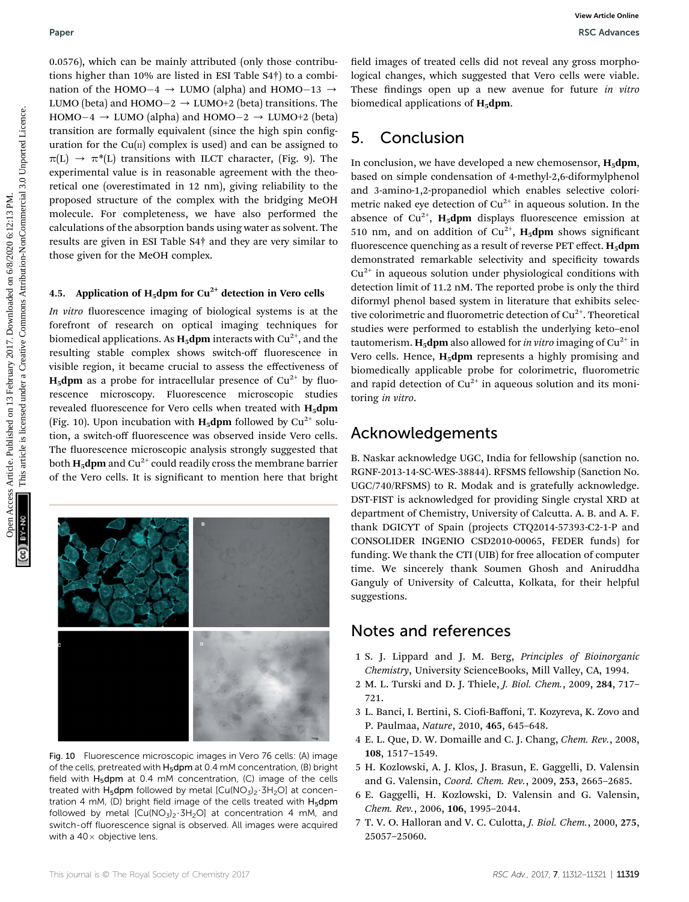0.0576), which can be mainly attributed (only those contributions higher than 10% are listed in ESI Table S4†) to a combination of the HOMO $-4 \rightarrow$  LUMO (alpha) and HOMO $-13 \rightarrow$ LUMO (beta) and  ${\rm HOMO–2}\rightarrow {\rm LUMO{+2}}$  (beta) transitions. The  $HOMO-4 \rightarrow LUMO$  (alpha) and  $HOMO-2 \rightarrow LUMO+2$  (beta) transition are formally equivalent (since the high spin conguration for the  $Cu(II)$  complex is used) and can be assigned to  $\pi(L) \rightarrow \pi^*(L)$  transitions with ILCT character, (Fig. 9). The experimental value is in reasonable agreement with the theoretical one (overestimated in 12 nm), giving reliability to the proposed structure of the complex with the bridging MeOH molecule. For completeness, we have also performed the calculations of the absorption bands using water as solvent. The results are given in ESI Table S4† and they are very similar to those given for the MeOH complex.

#### 4.5. Application of  $H_5$ dpm for Cu<sup>2+</sup> detection in Vero cells

In vitro fluorescence imaging of biological systems is at the forefront of research on optical imaging techniques for biomedical applications. As  $H_5$ dpm interacts with Cu<sup>2+</sup>, and the resulting stable complex shows switch-off fluorescence in visible region, it became crucial to assess the effectiveness of  $H_5$ dpm as a probe for intracellular presence of Cu<sup>2+</sup> by fluorescence microscopy. Fluorescence microscopic studies revealed fluorescence for Vero cells when treated with  $H_5dpm$ (Fig. 10). Upon incubation with  $H_5$ dpm followed by Cu<sup>2+</sup> solution, a switch-off fluorescence was observed inside Vero cells. The fluorescence microscopic analysis strongly suggested that both  $H_5$ dpm and Cu<sup>2+</sup> could readily cross the membrane barrier of the Vero cells. It is signicant to mention here that bright



Fig. 10 Fluorescence microscopic images in Vero 76 cells: (A) image of the cells, pretreated with H<sub>5</sub>dpm at 0.4 mM concentration, (B) bright field with  $H_5$ dpm at 0.4 mM concentration, (C) image of the cells treated with  $H_5$ dpm followed by metal  $[Cu(NO_3)_2 \cdot 3H_2O]$  at concentration 4 mM, (D) bright field image of the cells treated with  $H_5dpm$ followed by metal  $[Cu(NO<sub>3</sub>)<sub>2</sub> \cdot 3H<sub>2</sub>O]$  at concentration 4 mM, and switch-off fluorescence signal is observed. All images were acquired with a  $40\times$  objective lens.

field images of treated cells did not reveal any gross morphological changes, which suggested that Vero cells were viable. These findings open up a new avenue for future in vitro biomedical applications of  $H_5$ dpm.

# 5. Conclusion

In conclusion, we have developed a new chemosensor,  $H_5dpm$ , based on simple condensation of 4-methyl-2,6-diformylphenol and 3-amino-1,2-propanediol which enables selective colorimetric naked eye detection of  $Cu^{2+}$  in aqueous solution. In the absence of  $Cu^{2+}$ , H<sub>5</sub>dpm displays fluorescence emission at 510 nm, and on addition of  $Cu^{2+}$ , H<sub>5</sub>dpm shows significant fluorescence quenching as a result of reverse PET effect.  $H_5dpm$ demonstrated remarkable selectivity and specificity towards  $Cu<sup>2+</sup>$  in aqueous solution under physiological conditions with detection limit of 11.2 nM. The reported probe is only the third diformyl phenol based system in literature that exhibits selective colorimetric and fluorometric detection of  $Cu^{2+}$ . Theoretical studies were performed to establish the underlying keto–enol tautomerism. **H<sub>5</sub>dpm** also allowed for *in vitro* imaging of  $Cu^{2+}$  in Vero cells. Hence,  $H_5$ dpm represents a highly promising and biomedically applicable probe for colorimetric, fluorometric and rapid detection of  $Cu^{2+}$  in aqueous solution and its monitoring in vitro. Paper<br>
Operation control on 2017. Note that the system of the system of the system of the system are the system are the system and the system of the system are the system and the system are the system and the system artic

# Acknowledgements

B. Naskar acknowledge UGC, India for fellowship (sanction no. RGNF-2013-14-SC-WES-38844). RFSMS fellowship (Sanction No. UGC/740/RFSMS) to R. Modak and is gratefully acknowledge. DST-FIST is acknowledged for providing Single crystal XRD at department of Chemistry, University of Calcutta. A. B. and A. F. thank DGICYT of Spain (projects CTQ2014-57393-C2-1-P and CONSOLIDER INGENIO CSD2010-00065, FEDER funds) for funding. We thank the CTI (UIB) for free allocation of computer time. We sincerely thank Soumen Ghosh and Aniruddha Ganguly of University of Calcutta, Kolkata, for their helpful suggestions.

## Notes and references

- 1 S. J. Lippard and J. M. Berg, Principles of Bioinorganic Chemistry, University ScienceBooks, Mill Valley, CA, 1994.
- 2 M. L. Turski and D. J. Thiele, J. Biol. Chem., 2009, 284, 717– 721.
- 3 L. Banci, I. Bertini, S. Ciofi-Baffoni, T. Kozyreva, K. Zovo and P. Paulmaa, Nature, 2010, 465, 645–648.
- 4 E. L. Que, D. W. Domaille and C. J. Chang, Chem. Rev., 2008, 108, 1517–1549.
- 5 H. Kozlowski, A. J. Klos, J. Brasun, E. Gaggelli, D. Valensin and G. Valensin, Coord. Chem. Rev., 2009, 253, 2665–2685.
- 6 E. Gaggelli, H. Kozlowski, D. Valensin and G. Valensin, Chem. Rev., 2006, 106, 1995–2044.
- 7 T. V. O. Halloran and V. C. Culotta, J. Biol. Chem., 2000, 275, 25057–25060.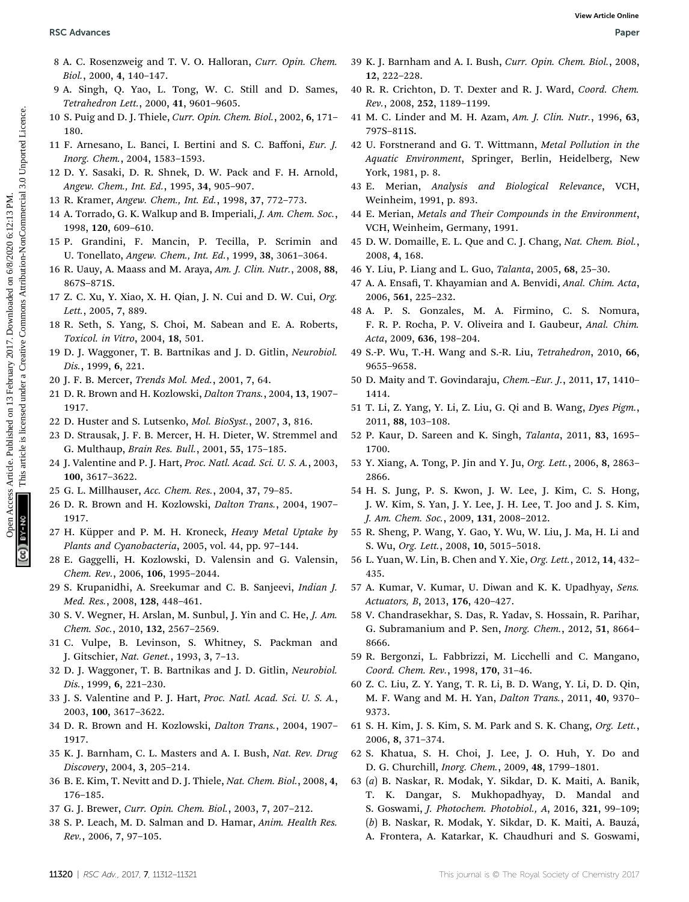- 8 A. C. Rosenzweig and T. V. O. Halloran, Curr. Opin. Chem. Biol., 2000, 4, 140–147.
- 9 A. Singh, Q. Yao, L. Tong, W. C. Still and D. Sames, Tetrahedron Lett., 2000, 41, 9601–9605.
- 10 S. Puig and D. J. Thiele, Curr. Opin. Chem. Biol., 2002, 6, 171– 180.
- 11 F. Arnesano, L. Banci, I. Bertini and S. C. Baffoni, Eur. J. Inorg. Chem., 2004, 1583–1593.
- 12 D. Y. Sasaki, D. R. Shnek, D. W. Pack and F. H. Arnold, Angew. Chem., Int. Ed., 1995, 34, 905–907.
- 13 R. Kramer, Angew. Chem., Int. Ed., 1998, 37, 772–773.
- 14 A. Torrado, G. K. Walkup and B. Imperiali, J. Am. Chem. Soc., 1998, 120, 609–610.
- 15 P. Grandini, F. Mancin, P. Tecilla, P. Scrimin and U. Tonellato, Angew. Chem., Int. Ed., 1999, 38, 3061–3064.
- 16 R. Uauy, A. Maass and M. Araya, Am. J. Clin. Nutr., 2008, 88, 867S–871S.
- 17 Z. C. Xu, Y. Xiao, X. H. Qian, J. N. Cui and D. W. Cui, Org. Lett., 2005, 7, 889.
- 18 R. Seth, S. Yang, S. Choi, M. Sabean and E. A. Roberts, Toxicol. in Vitro, 2004, 18, 501.
- 19 D. J. Waggoner, T. B. Bartnikas and J. D. Gitlin, Neurobiol. Dis., 1999, 6, 221.
- 20 J. F. B. Mercer, Trends Mol. Med., 2001, 7, 64.
- 21 D. R. Brown and H. Kozlowski, Dalton Trans., 2004, 13, 1907– 1917.
- 22 D. Huster and S. Lutsenko, Mol. BioSyst., 2007, 3, 816.
- 23 D. Strausak, J. F. B. Mercer, H. H. Dieter, W. Stremmel and G. Multhaup, Brain Res. Bull., 2001, 55, 175–185.
- 24 J. Valentine and P. J. Hart, Proc. Natl. Acad. Sci. U. S. A., 2003, 100, 3617–3622.
- 25 G. L. Millhauser, Acc. Chem. Res., 2004, 37, 79–85.
- 26 D. R. Brown and H. Kozlowski, Dalton Trans., 2004, 1907– 1917.
- 27 H. Küpper and P. M. H. Kroneck, Heavy Metal Uptake by Plants and Cyanobacteria, 2005, vol. 44, pp. 97–144.
- 28 E. Gaggelli, H. Kozlowski, D. Valensin and G. Valensin, Chem. Rev., 2006, 106, 1995–2044.
- 29 S. Krupanidhi, A. Sreekumar and C. B. Sanjeevi, Indian J. Med. Res., 2008, 128, 448–461.
- 30 S. V. Wegner, H. Arslan, M. Sunbul, J. Yin and C. He, J. Am. Chem. Soc., 2010, 132, 2567–2569.
- 31 C. Vulpe, B. Levinson, S. Whitney, S. Packman and J. Gitschier, Nat. Genet., 1993, 3, 7–13.
- 32 D. J. Waggoner, T. B. Bartnikas and J. D. Gitlin, Neurobiol. Dis., 1999, 6, 221–230.
- 33 J. S. Valentine and P. J. Hart, Proc. Natl. Acad. Sci. U. S. A., 2003, 100, 3617–3622.
- 34 D. R. Brown and H. Kozlowski, Dalton Trans., 2004, 1907– 1917.
- 35 K. J. Barnham, C. L. Masters and A. I. Bush, Nat. Rev. Drug Discovery, 2004, 3, 205–214.
- 36 B. E. Kim, T. Nevitt and D. J. Thiele, Nat. Chem. Biol., 2008, 4, 176–185.
- 37 G. J. Brewer, Curr. Opin. Chem. Biol., 2003, 7, 207–212.
- 38 S. P. Leach, M. D. Salman and D. Hamar, Anim. Health Res. Rev., 2006, 7, 97–105.
- 39 K. J. Barnham and A. I. Bush, Curr. Opin. Chem. Biol., 2008, 12, 222–228.
- 40 R. R. Crichton, D. T. Dexter and R. J. Ward, Coord. Chem. Rev., 2008, 252, 1189–1199.
- 41 M. C. Linder and M. H. Azam, Am. J. Clin. Nutr., 1996, 63, 797S–811S.
- 42 U. Forstnerand and G. T. Wittmann, Metal Pollution in the Aquatic Environment, Springer, Berlin, Heidelberg, New York, 1981, p. 8. **BSC Arbaness**<br>
8 A. C. Rosenzoviç and T. V. O. Hallomn, Carr. Opic. Chem. 39 K. J. Barnham and A. I. Rosen, Curr. Opic. Chem. 200<br>
1996, 2006, 11 February 2017. Downloaded Chem. 2017. The same and K. H. Theorem Access Art
	- 43 E. Merian, Analysis and Biological Relevance, VCH, Weinheim, 1991, p. 893.
	- 44 E. Merian, Metals and Their Compounds in the Environment, VCH, Weinheim, Germany, 1991.
	- 45 D. W. Domaille, E. L. Que and C. J. Chang, Nat. Chem. Biol., 2008, 4, 168.
	- 46 Y. Liu, P. Liang and L. Guo, Talanta, 2005, 68, 25–30.
	- 47 A. A. Ensafi, T. Khayamian and A. Benvidi, Anal. Chim. Acta, 2006, 561, 225–232.
	- 48 A. P. S. Gonzales, M. A. Firmino, C. S. Nomura, F. R. P. Rocha, P. V. Oliveira and I. Gaubeur, Anal. Chim. Acta, 2009, 636, 198–204.
	- 49 S.-P. Wu, T.-H. Wang and S.-R. Liu, Tetrahedron, 2010, 66, 9655–9658.
	- 50 D. Maity and T. Govindaraju, Chem.–Eur. J., 2011, 17, 1410– 1414.
	- 51 T. Li, Z. Yang, Y. Li, Z. Liu, G. Qi and B. Wang, Dyes Pigm., 2011, 88, 103–108.
	- 52 P. Kaur, D. Sareen and K. Singh, Talanta, 2011, 83, 1695– 1700.
	- 53 Y. Xiang, A. Tong, P. Jin and Y. Ju, Org. Lett., 2006, 8, 2863– 2866.
	- 54 H. S. Jung, P. S. Kwon, J. W. Lee, J. Kim, C. S. Hong, J. W. Kim, S. Yan, J. Y. Lee, J. H. Lee, T. Joo and J. S. Kim, J. Am. Chem. Soc., 2009, 131, 2008–2012.
	- 55 R. Sheng, P. Wang, Y. Gao, Y. Wu, W. Liu, J. Ma, H. Li and S. Wu, Org. Lett., 2008, 10, 5015–5018.
	- 56 L. Yuan, W. Lin, B. Chen and Y. Xie, Org. Lett., 2012, 14, 432– 435.
	- 57 A. Kumar, V. Kumar, U. Diwan and K. K. Upadhyay, Sens. Actuators, B, 2013, 176, 420–427.
	- 58 V. Chandrasekhar, S. Das, R. Yadav, S. Hossain, R. Parihar, G. Subramanium and P. Sen, Inorg. Chem., 2012, 51, 8664– 8666.
	- 59 R. Bergonzi, L. Fabbrizzi, M. Licchelli and C. Mangano, Coord. Chem. Rev., 1998, 170, 31–46.
	- 60 Z. C. Liu, Z. Y. Yang, T. R. Li, B. D. Wang, Y. Li, D. D. Qin, M. F. Wang and M. H. Yan, Dalton Trans., 2011, 40, 9370– 9373.
	- 61 S. H. Kim, J. S. Kim, S. M. Park and S. K. Chang, Org. Lett., 2006, 8, 371–374.
	- 62 S. Khatua, S. H. Choi, J. Lee, J. O. Huh, Y. Do and D. G. Churchill, Inorg. Chem., 2009, 48, 1799–1801.
	- 63 (a) B. Naskar, R. Modak, Y. Sikdar, D. K. Maiti, A. Banik, T. K. Dangar, S. Mukhopadhyay, D. Mandal and S. Goswami, J. Photochem. Photobiol., A, 2016, 321, 99–109; (b) B. Naskar, R. Modak, Y. Sikdar, D. K. Maiti, A. Bauzá, A. Frontera, A. Katarkar, K. Chaudhuri and S. Goswami,